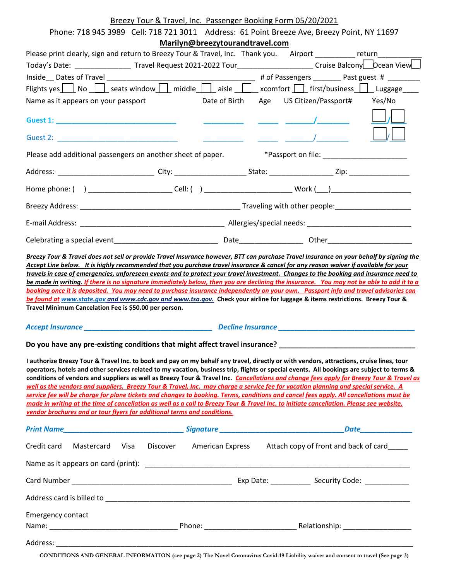# Breezy Tour & Travel, Inc. Passenger Booking Form 05/20/2021

| Phone: 718 945 3989 Cell: 718 721 3011 Address: 61 Point Breeze Ave, Breezy Point, NY 11697                                                                                                                                                                                                                                                                                                                                                                                                                                                                                                                                                                                                                                                                                                                                                                                                                                                  |  |                                 |                                                                 |  |  |
|----------------------------------------------------------------------------------------------------------------------------------------------------------------------------------------------------------------------------------------------------------------------------------------------------------------------------------------------------------------------------------------------------------------------------------------------------------------------------------------------------------------------------------------------------------------------------------------------------------------------------------------------------------------------------------------------------------------------------------------------------------------------------------------------------------------------------------------------------------------------------------------------------------------------------------------------|--|---------------------------------|-----------------------------------------------------------------|--|--|
|                                                                                                                                                                                                                                                                                                                                                                                                                                                                                                                                                                                                                                                                                                                                                                                                                                                                                                                                              |  | Marilyn@breezytourandtravel.com |                                                                 |  |  |
| Please print clearly, sign and return to Breezy Tour & Travel, Inc. Thank you. Airport __________ return________                                                                                                                                                                                                                                                                                                                                                                                                                                                                                                                                                                                                                                                                                                                                                                                                                             |  |                                 |                                                                 |  |  |
| Today's Date: _____________________Travel Request 2021-2022 Tour_________________________Cruise Balcony___Dcean View___                                                                                                                                                                                                                                                                                                                                                                                                                                                                                                                                                                                                                                                                                                                                                                                                                      |  |                                 |                                                                 |  |  |
|                                                                                                                                                                                                                                                                                                                                                                                                                                                                                                                                                                                                                                                                                                                                                                                                                                                                                                                                              |  |                                 |                                                                 |  |  |
| Flights yes $\Box$ No $\Box$ seats window $\Box$ middle $\Box$ aisle $\Box$ xcomfort $\Box$ first/business $\Box$ Luggage                                                                                                                                                                                                                                                                                                                                                                                                                                                                                                                                                                                                                                                                                                                                                                                                                    |  |                                 |                                                                 |  |  |
| Name as it appears on your passport <b>Network State Date of Birth</b> Age US Citizen/Passport# Yes/No                                                                                                                                                                                                                                                                                                                                                                                                                                                                                                                                                                                                                                                                                                                                                                                                                                       |  |                                 |                                                                 |  |  |
| <b>Guest 1: Guest 1: Guest 1: Guest 1: Guest 1:</b>                                                                                                                                                                                                                                                                                                                                                                                                                                                                                                                                                                                                                                                                                                                                                                                                                                                                                          |  |                                 |                                                                 |  |  |
|                                                                                                                                                                                                                                                                                                                                                                                                                                                                                                                                                                                                                                                                                                                                                                                                                                                                                                                                              |  |                                 | $\frac{1}{\sqrt{2}}$ $\frac{1}{\sqrt{2}}$                       |  |  |
|                                                                                                                                                                                                                                                                                                                                                                                                                                                                                                                                                                                                                                                                                                                                                                                                                                                                                                                                              |  |                                 |                                                                 |  |  |
| Address: _______________________________City: _______________________State: ______________________Zip: _______________________________                                                                                                                                                                                                                                                                                                                                                                                                                                                                                                                                                                                                                                                                                                                                                                                                       |  |                                 |                                                                 |  |  |
| Home phone: ( ) __________________________Cell: ( ) ____________________________ Work (___)___________________                                                                                                                                                                                                                                                                                                                                                                                                                                                                                                                                                                                                                                                                                                                                                                                                                               |  |                                 |                                                                 |  |  |
|                                                                                                                                                                                                                                                                                                                                                                                                                                                                                                                                                                                                                                                                                                                                                                                                                                                                                                                                              |  |                                 |                                                                 |  |  |
|                                                                                                                                                                                                                                                                                                                                                                                                                                                                                                                                                                                                                                                                                                                                                                                                                                                                                                                                              |  |                                 |                                                                 |  |  |
|                                                                                                                                                                                                                                                                                                                                                                                                                                                                                                                                                                                                                                                                                                                                                                                                                                                                                                                                              |  |                                 |                                                                 |  |  |
| booking once it is deposited. You may need to purchase insurance independently on your own. Passport info and travel advisories can<br>be found at www.state.gov and www.cdc.gov and www.tsa.gov. Check your airline for luggage & items restrictions. Breezy Tour &<br>Travel Minimum Cancelation Fee is \$50.00 per person.                                                                                                                                                                                                                                                                                                                                                                                                                                                                                                                                                                                                                |  |                                 |                                                                 |  |  |
|                                                                                                                                                                                                                                                                                                                                                                                                                                                                                                                                                                                                                                                                                                                                                                                                                                                                                                                                              |  |                                 |                                                                 |  |  |
| Do you have any pre-existing conditions that might affect travel insurance? ________________________                                                                                                                                                                                                                                                                                                                                                                                                                                                                                                                                                                                                                                                                                                                                                                                                                                         |  |                                 |                                                                 |  |  |
| I authorize Breezy Tour & Travel Inc. to book and pay on my behalf any travel, directly or with vendors, attractions, cruise lines, tour<br>operators, hotels and other services related to my vacation, business trip, flights or special events. All bookings are subject to terms &<br>conditions of vendors and suppliers as well as Breezy Tour & Travel Inc. Cancellations and change fees apply for Breezy Tour & Travel as<br>well as the vendors and suppliers. Breezy Tour & Travel, Inc. may charge a service fee for vacation planning and special service. A<br>service fee will be charge for plane tickets and changes to booking. Terms, conditions and cancel fees apply. All cancellations must be<br>made in writing at the time of cancellation as well as a call to Breezy Tour & Travel Inc. to initiate cancellation. Please see website,<br>vendor brochures and or tour flyers for additional terms and conditions. |  |                                 |                                                                 |  |  |
|                                                                                                                                                                                                                                                                                                                                                                                                                                                                                                                                                                                                                                                                                                                                                                                                                                                                                                                                              |  |                                 |                                                                 |  |  |
| Credit card<br>Mastercard<br>Visa                                                                                                                                                                                                                                                                                                                                                                                                                                                                                                                                                                                                                                                                                                                                                                                                                                                                                                            |  |                                 | Discover American Express Attach copy of front and back of card |  |  |
|                                                                                                                                                                                                                                                                                                                                                                                                                                                                                                                                                                                                                                                                                                                                                                                                                                                                                                                                              |  |                                 |                                                                 |  |  |
|                                                                                                                                                                                                                                                                                                                                                                                                                                                                                                                                                                                                                                                                                                                                                                                                                                                                                                                                              |  |                                 |                                                                 |  |  |
|                                                                                                                                                                                                                                                                                                                                                                                                                                                                                                                                                                                                                                                                                                                                                                                                                                                                                                                                              |  |                                 |                                                                 |  |  |
| <b>Emergency contact</b>                                                                                                                                                                                                                                                                                                                                                                                                                                                                                                                                                                                                                                                                                                                                                                                                                                                                                                                     |  |                                 |                                                                 |  |  |
|                                                                                                                                                                                                                                                                                                                                                                                                                                                                                                                                                                                                                                                                                                                                                                                                                                                                                                                                              |  |                                 |                                                                 |  |  |
| Address:                                                                                                                                                                                                                                                                                                                                                                                                                                                                                                                                                                                                                                                                                                                                                                                                                                                                                                                                     |  |                                 |                                                                 |  |  |

CONDITIONS AND GENERAL INFORMATION (see page 2) The Novel Coronavirus Covid-19 Liability waiver and consent to travel (See page 3)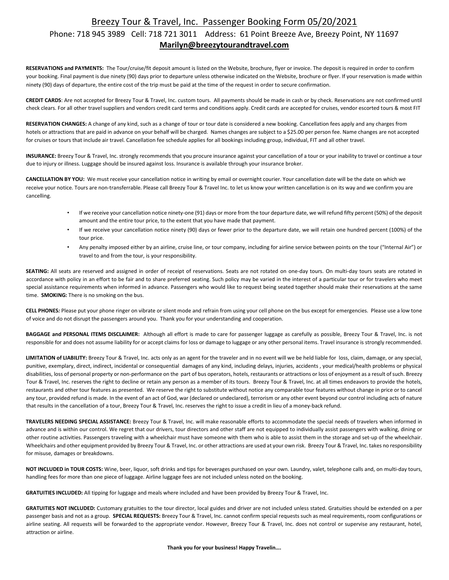## Breezy Tour & Travel, Inc. Passenger Booking Form 05/20/2021

### Phone: 718 945 3989 Cell: 718 721 3011 Address: 61 Point Breeze Ave, Breezy Point, NY 11697 Marilyn@breezytourandtravel.com

RESERVATIONS and PAYMENTS: The Tour/cruise/fit deposit amount is listed on the Website, brochure, flyer or invoice. The deposit is required in order to confirm your booking. Final payment is due ninety (90) days prior to departure unless otherwise indicated on the Website, brochure or flyer. If your reservation is made within ninety (90) days of departure, the entire cost of the trip must be paid at the time of the request in order to secure confirmation.

CREDIT CARDS: Are not accepted for Breezy Tour & Travel, Inc. custom tours. All payments should be made in cash or by check. Reservations are not confirmed until check clears. For all other travel suppliers and vendors credit card terms and conditions apply. Credit cards are accepted for cruises, vendor escorted tours & most FIT

RESERVATION CHANGES: A change of any kind, such as a change of tour or tour date is considered a new booking. Cancellation fees apply and any charges from hotels or attractions that are paid in advance on your behalf will be charged. Names changes are subject to a \$25.00 per person fee. Name changes are not accepted for cruises or tours that include air travel. Cancellation fee schedule applies for all bookings including group, individual, FIT and all other travel.

INSURANCE: Breezy Tour & Travel, Inc. strongly recommends that you procure insurance against your cancellation of a tour or your inability to travel or continue a tour due to injury or illness. Luggage should be insured against loss. Insurance is available through your insurance broker.

CANCELLATION BY YOU: We must receive your cancellation notice in writing by email or overnight courier. Your cancellation date will be the date on which we receive your notice. Tours are non-transferrable. Please call Breezy Tour & Travel Inc. to let us know your written cancellation is on its way and we confirm you are cancelling.

- If we receive your cancellation notice ninety-one (91) days or more from the tour departure date, we will refund fifty percent (50%) of the deposit amount and the entire tour price, to the extent that you have made that payment.
- If we receive your cancellation notice ninety (90) days or fewer prior to the departure date, we will retain one hundred percent (100%) of the tour price.
- Any penalty imposed either by an airline, cruise line, or tour company, including for airline service between points on the tour ("Internal Air") or travel to and from the tour, is your responsibility.

SEATING: All seats are reserved and assigned in order of receipt of reservations. Seats are not rotated on one-day tours. On multi-day tours seats are rotated in accordance with policy in an effort to be fair and to share preferred seating. Such policy may be varied in the interest of a particular tour or for travelers who meet special assistance requirements when informed in advance. Passengers who would like to request being seated together should make their reservations at the same time. **SMOKING:** There is no smoking on the bus.

CELL PHONES: Please put your phone ringer on vibrate or silent mode and refrain from using your cell phone on the bus except for emergencies. Please use a low tone of voice and do not disrupt the passengers around you. Thank you for your understanding and cooperation.

BAGGAGE and PERSONAL ITEMS DISCLAIMER: Although all effort is made to care for passenger luggage as carefully as possible, Breezy Tour & Travel, Inc. is not responsible for and does not assume liability for or accept claims for loss or damage to luggage or any other personal items. Travel insurance is strongly recommended.

LIMITATION of LIABILITY: Breezy Tour & Travel, Inc. acts only as an agent for the traveler and in no event will we be held liable for loss, claim, damage, or any special, punitive, exemplary, direct, indirect, incidental or consequential damages of any kind, including delays, injuries, accidents , your medical/health problems or physical disabilities, loss of personal property or non-performance on the part of bus operators, hotels, restaurants or attractions or loss of enjoyment as a result of such. Breezy Tour & Travel, Inc. reserves the right to decline or retain any person as a member of its tours. Breezy Tour & Travel, Inc. at all times endeavors to provide the hotels, restaurants and other tour features as presented. We reserve the right to substitute without notice any comparable tour features without change in price or to cancel any tour, provided refund is made. In the event of an act of God, war (declared or undeclared), terrorism or any other event beyond our control including acts of nature that results in the cancellation of a tour, Breezy Tour & Travel, Inc. reserves the right to issue a credit in lieu of a money-back refund.

TRAVELERS NEEDING SPECIAL ASSISTANCE: Breezy Tour & Travel, Inc. will make reasonable efforts to accommodate the special needs of travelers when informed in advance and is within our control. We regret that our drivers, tour directors and other staff are not equipped to individually assist passengers with walking, dining or other routine activities. Passengers traveling with a wheelchair must have someone with them who is able to assist them in the storage and set-up of the wheelchair. Wheelchairs and other equipment provided by Breezy Tour & Travel, Inc. or other attractions are used at your own risk. Breezy Tour & Travel, Inc. takes no responsibility for misuse, damages or breakdowns.

NOT INCLUDED in TOUR COSTS: Wine, beer, liquor, soft drinks and tips for beverages purchased on your own. Laundry, valet, telephone calls and, on multi-day tours, handling fees for more than one piece of luggage. Airline luggage fees are not included unless noted on the booking.

GRATUITIES INCLUDED: All tipping for luggage and meals where included and have been provided by Breezy Tour & Travel, Inc.

GRATUITIES NOT INCLUDED: Customary gratuities to the tour director, local guides and driver are not included unless stated. Gratuities should be extended on a per passenger basis and not as a group. SPECIAL REQUESTS: Breezy Tour & Travel, Inc. cannot confirm special requests such as meal requirements, room configurations or airline seating. All requests will be forwarded to the appropriate vendor. However, Breezy Tour & Travel, Inc. does not control or supervise any restaurant, hotel, attraction or airline.

Thank you for your business! Happy Travelin….